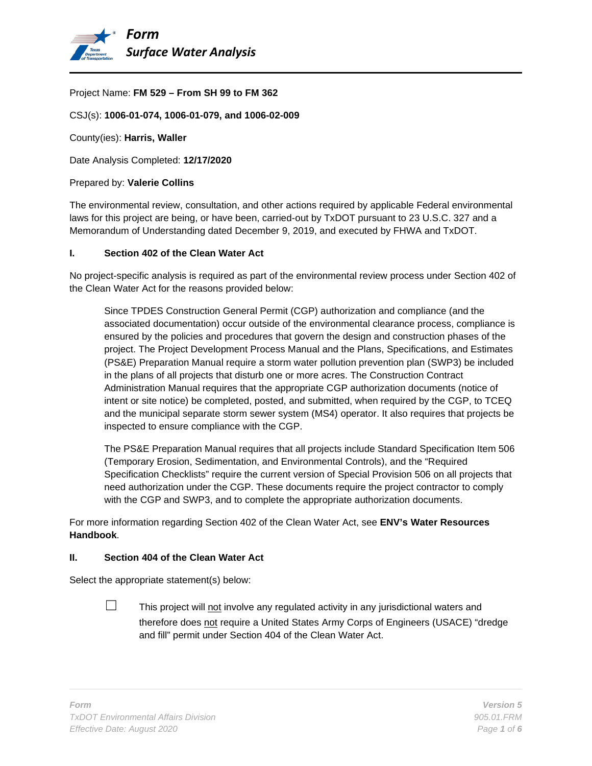

#### Project Name: **FM 529 – From SH 99 to FM 362**

CSJ(s): **1006-01-074, 1006-01-079, and 1006-02-009**

County(ies): **Harris, Waller**

Date Analysis Completed: **12/17/2020**

#### Prepared by: **Valerie Collins**

The environmental review, consultation, and other actions required by applicable Federal environmental laws for this project are being, or have been, carried-out by TxDOT pursuant to 23 U.S.C. 327 and a Memorandum of Understanding dated December 9, 2019, and executed by FHWA and TxDOT.

#### **I. Section 402 of the Clean Water Act**

No project-specific analysis is required as part of the environmental review process under Section 402 of the Clean Water Act for the reasons provided below:

Since TPDES Construction General Permit (CGP) authorization and compliance (and the associated documentation) occur outside of the environmental clearance process, compliance is ensured by the policies and procedures that govern the design and construction phases of the project. The Project Development Process Manual and the Plans, Specifications, and Estimates (PS&E) Preparation Manual require a storm water pollution prevention plan (SWP3) be included in the plans of all projects that disturb one or more acres. The Construction Contract Administration Manual requires that the appropriate CGP authorization documents (notice of intent or site notice) be completed, posted, and submitted, when required by the CGP, to TCEQ and the municipal separate storm sewer system (MS4) operator. It also requires that projects be inspected to ensure compliance with the CGP.

The PS&E Preparation Manual requires that all projects include Standard Specification Item 506 (Temporary Erosion, Sedimentation, and Environmental Controls), and the "Required Specification Checklists" require the current version of Special Provision 506 on all projects that need authorization under the CGP. These documents require the project contractor to comply with the CGP and SWP3, and to complete the appropriate authorization documents.

For more information regarding Section 402 of the Clean Water Act, see **ENV's Water Resources Handbook**.

### **II. Section 404 of the Clean Water Act**

Select the appropriate statement(s) below:

 $\Box$  This project will not involve any regulated activity in any jurisdictional waters and therefore does not require a United States Army Corps of Engineers (USACE) "dredge and fill" permit under Section 404 of the Clean Water Act.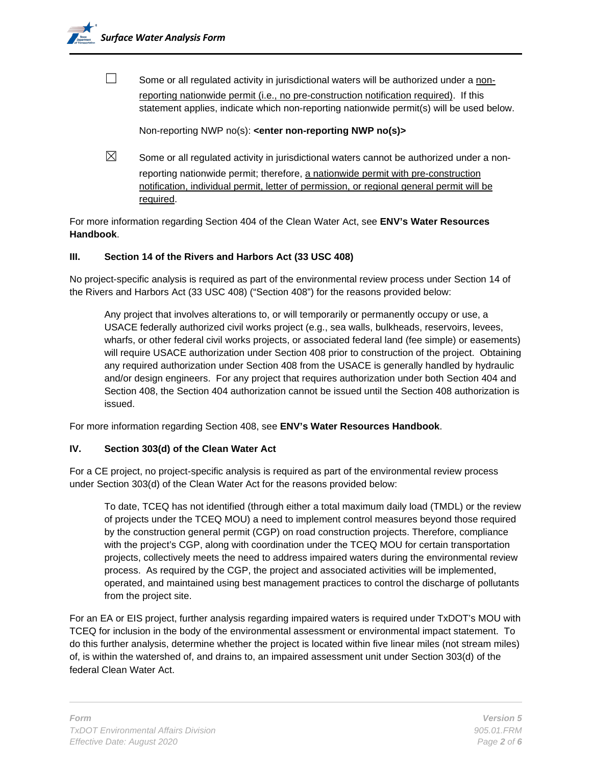$\Box$  Some or all regulated activity in jurisdictional waters will be authorized under a nonreporting nationwide permit (i.e., no pre-construction notification required). If this statement applies, indicate which non-reporting nationwide permit(s) will be used below.

Non-reporting NWP no(s): **<enter non-reporting NWP no(s)>**

 $\boxtimes$  Some or all regulated activity in jurisdictional waters cannot be authorized under a nonreporting nationwide permit; therefore, a nationwide permit with pre-construction notification, individual permit, letter of permission, or regional general permit will be required.

For more information regarding Section 404 of the Clean Water Act, see **ENV's Water Resources Handbook**.

# **III. Section 14 of the Rivers and Harbors Act (33 USC 408)**

No project-specific analysis is required as part of the environmental review process under Section 14 of the Rivers and Harbors Act (33 USC 408) ("Section 408") for the reasons provided below:

Any project that involves alterations to, or will temporarily or permanently occupy or use, a USACE federally authorized civil works project (e.g., sea walls, bulkheads, reservoirs, levees, wharfs, or other federal civil works projects, or associated federal land (fee simple) or easements) will require USACE authorization under Section 408 prior to construction of the project. Obtaining any required authorization under Section 408 from the USACE is generally handled by hydraulic and/or design engineers. For any project that requires authorization under both Section 404 and Section 408, the Section 404 authorization cannot be issued until the Section 408 authorization is issued.

For more information regarding Section 408, see **ENV's Water Resources Handbook**.

## **IV. Section 303(d) of the Clean Water Act**

For a CE project, no project-specific analysis is required as part of the environmental review process under Section 303(d) of the Clean Water Act for the reasons provided below:

To date, TCEQ has not identified (through either a total maximum daily load (TMDL) or the review of projects under the TCEQ MOU) a need to implement control measures beyond those required by the construction general permit (CGP) on road construction projects. Therefore, compliance with the project's CGP, along with coordination under the TCEQ MOU for certain transportation projects, collectively meets the need to address impaired waters during the environmental review process. As required by the CGP, the project and associated activities will be implemented, operated, and maintained using best management practices to control the discharge of pollutants from the project site.

For an EA or EIS project, further analysis regarding impaired waters is required under TxDOT's MOU with TCEQ for inclusion in the body of the environmental assessment or environmental impact statement. To do this further analysis, determine whether the project is located within five linear miles (not stream miles) of, is within the watershed of, and drains to, an impaired assessment unit under Section 303(d) of the federal Clean Water Act.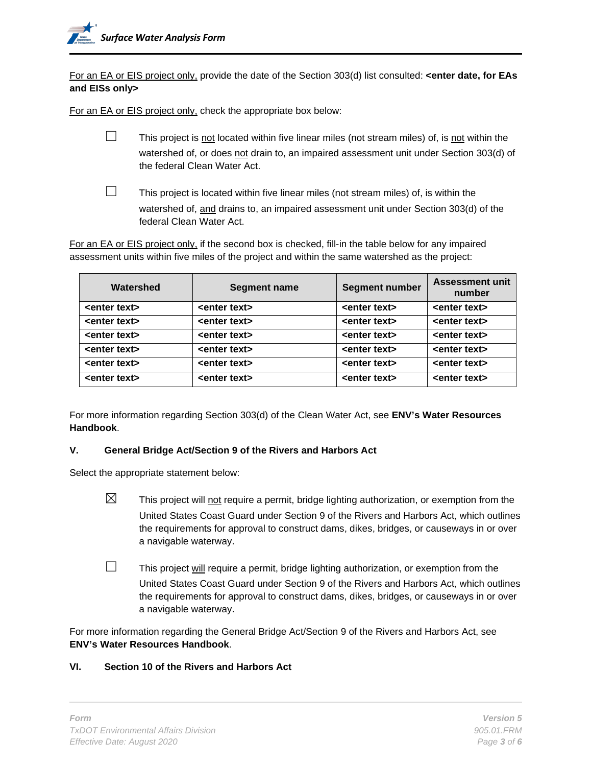For an EA or EIS project only, provide the date of the Section 303(d) list consulted: **<enter date, for EAs and EISs only>**

For an EA or EIS project only, check the appropriate box below:

- $\Box$  This project is not located within five linear miles (not stream miles) of, is not within the watershed of, or does not drain to, an impaired assessment unit under Section 303(d) of
	-
- the federal Clean Water Act.  $\Box$  This project is located within five linear miles (not stream miles) of, is within the

watershed of, and drains to, an impaired assessment unit under Section 303(d) of the

federal Clean Water Act.

For an EA or EIS project only, if the second box is checked, fill-in the table below for any impaired assessment units within five miles of the project and within the same watershed as the project:

| Watershed               | <b>Segment name</b>     | <b>Segment number</b>   | <b>Assessment unit</b><br>number |
|-------------------------|-------------------------|-------------------------|----------------------------------|
| <enter text=""></enter> | <enter text=""></enter> | <enter text=""></enter> | <enter text=""></enter>          |
| <enter text=""></enter> | <enter text=""></enter> | <enter text=""></enter> | <enter text=""></enter>          |
| <enter text=""></enter> | <enter text=""></enter> | <enter text=""></enter> | <enter text=""></enter>          |
| <enter text=""></enter> | <enter text=""></enter> | <enter text=""></enter> | <enter text=""></enter>          |
| <enter text=""></enter> | <enter text=""></enter> | <enter text=""></enter> | <enter text=""></enter>          |
| <enter text=""></enter> | <enter text=""></enter> | <enter text=""></enter> | <enter text=""></enter>          |

For more information regarding Section 303(d) of the Clean Water Act, see **ENV's Water Resources Handbook**.

## **V. General Bridge Act/Section 9 of the Rivers and Harbors Act**

Select the appropriate statement below:

- $\boxtimes$  This project will not require a permit, bridge lighting authorization, or exemption from the United States Coast Guard under Section 9 of the Rivers and Harbors Act, which outlines the requirements for approval to construct dams, dikes, bridges, or causeways in or over a navigable waterway.
- $\Box$  This project will require a permit, bridge lighting authorization, or exemption from the United States Coast Guard under Section 9 of the Rivers and Harbors Act, which outlines the requirements for approval to construct dams, dikes, bridges, or causeways in or over a navigable waterway.

For more information regarding the General Bridge Act/Section 9 of the Rivers and Harbors Act, see **ENV's Water Resources Handbook**.

## **VI. Section 10 of the Rivers and Harbors Act**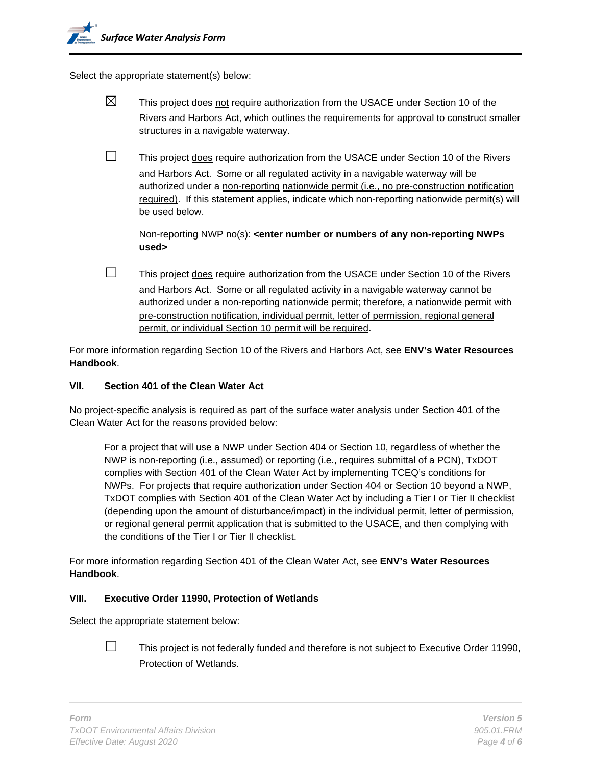Select the appropriate statement(s) below:

- $\boxtimes$  This project does not require authorization from the USACE under Section 10 of the Rivers and Harbors Act, which outlines the requirements for approval to construct smaller structures in a navigable waterway.
- $\Box$  This project does require authorization from the USACE under Section 10 of the Rivers and Harbors Act. Some or all regulated activity in a navigable waterway will be authorized under a non-reporting nationwide permit (i.e., no pre-construction notification required). If this statement applies, indicate which non-reporting nationwide permit(s) will be used below.

Non-reporting NWP no(s): **<enter number or numbers of any non-reporting NWPs used>**

 $\Box$  This project does require authorization from the USACE under Section 10 of the Rivers and Harbors Act. Some or all regulated activity in a navigable waterway cannot be authorized under a non-reporting nationwide permit; therefore, a nationwide permit with pre-construction notification, individual permit, letter of permission, regional general permit, or individual Section 10 permit will be required.

For more information regarding Section 10 of the Rivers and Harbors Act, see **ENV's Water Resources Handbook**.

### **VII. Section 401 of the Clean Water Act**

No project-specific analysis is required as part of the surface water analysis under Section 401 of the Clean Water Act for the reasons provided below:

For a project that will use a NWP under Section 404 or Section 10, regardless of whether the NWP is non-reporting (i.e., assumed) or reporting (i.e., requires submittal of a PCN), TxDOT complies with Section 401 of the Clean Water Act by implementing TCEQ's conditions for NWPs. For projects that require authorization under Section 404 or Section 10 beyond a NWP, TxDOT complies with Section 401 of the Clean Water Act by including a Tier I or Tier II checklist (depending upon the amount of disturbance/impact) in the individual permit, letter of permission, or regional general permit application that is submitted to the USACE, and then complying with the conditions of the Tier I or Tier II checklist.

For more information regarding Section 401 of the Clean Water Act, see **ENV's Water Resources Handbook**.

### **VIII. Executive Order 11990, Protection of Wetlands**

Select the appropriate statement below:



 $\Box$  This project is not federally funded and therefore is not subject to Executive Order 11990, Protection of Wetlands.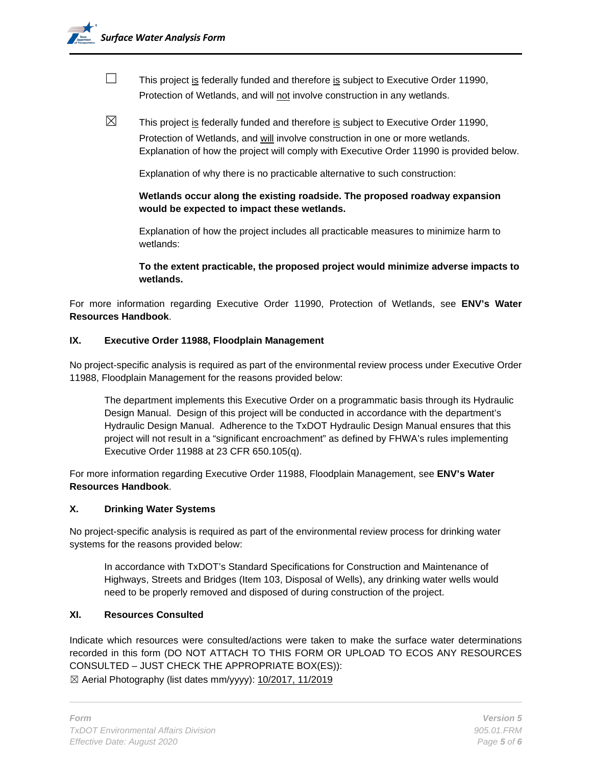- $\Box$  This project is federally funded and therefore is subject to Executive Order 11990, Protection of Wetlands, and will not involve construction in any wetlands.
- $\boxtimes$  This project is federally funded and therefore is subject to Executive Order 11990, Protection of Wetlands, and will involve construction in one or more wetlands. Explanation of how the project will comply with Executive Order 11990 is provided below.

Explanation of why there is no practicable alternative to such construction:

**Wetlands occur along the existing roadside. The proposed roadway expansion would be expected to impact these wetlands.**

Explanation of how the project includes all practicable measures to minimize harm to wetlands:

**To the extent practicable, the proposed project would minimize adverse impacts to wetlands.**

For more information regarding Executive Order 11990, Protection of Wetlands, see **ENV's Water Resources Handbook**.

### **IX. Executive Order 11988, Floodplain Management**

No project-specific analysis is required as part of the environmental review process under Executive Order 11988, Floodplain Management for the reasons provided below:

The department implements this Executive Order on a programmatic basis through its Hydraulic Design Manual. Design of this project will be conducted in accordance with the department's Hydraulic Design Manual. Adherence to the TxDOT Hydraulic Design Manual ensures that this project will not result in a "significant encroachment" as defined by FHWA's rules implementing Executive Order 11988 at 23 CFR 650.105(q).

For more information regarding Executive Order 11988, Floodplain Management, see **ENV's Water Resources Handbook**.

### **X. Drinking Water Systems**

No project-specific analysis is required as part of the environmental review process for drinking water systems for the reasons provided below:

In accordance with TxDOT's Standard Specifications for Construction and Maintenance of Highways, Streets and Bridges (Item 103, Disposal of Wells), any drinking water wells would need to be properly removed and disposed of during construction of the project.

### **XI. Resources Consulted**

Indicate which resources were consulted/actions were taken to make the surface water determinations recorded in this form (DO NOT ATTACH TO THIS FORM OR UPLOAD TO ECOS ANY RESOURCES CONSULTED – JUST CHECK THE APPROPRIATE BOX(ES)):

☒ Aerial Photography (list dates mm/yyyy): 10/2017, 11/2019